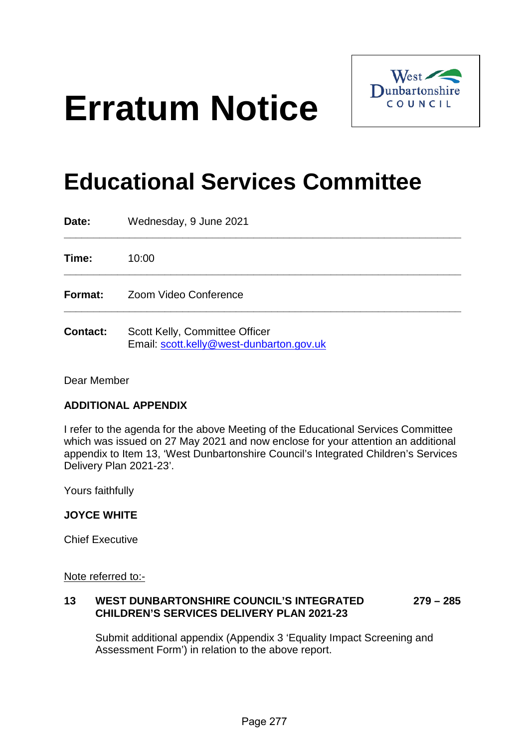# **Erratum Notice**



## **Educational Services Committee**

| Date:           | Wednesday, 9 June 2021                                                     |
|-----------------|----------------------------------------------------------------------------|
| Time:           | 10:00                                                                      |
| Format:         | Zoom Video Conference                                                      |
| <b>Contact:</b> | Scott Kelly, Committee Officer<br>Email: scott.kelly@west-dunbarton.gov.uk |

Dear Member

#### **ADDITIONAL APPENDIX**

I refer to the agenda for the above Meeting of the Educational Services Committee which was issued on 27 May 2021 and now enclose for your attention an additional appendix to Item 13, 'West Dunbartonshire Council's Integrated Children's Services Delivery Plan 2021-23'.

Yours faithfully

#### **JOYCE WHITE**

Chief Executive

Note referred to:-

#### **13 WEST DUNBARTONSHIRE COUNCIL'S INTEGRATED 279 – 285 CHILDREN'S SERVICES DELIVERY PLAN 2021-23**

Submit additional appendix (Appendix 3 'Equality Impact Screening and Assessment Form') in relation to the above report.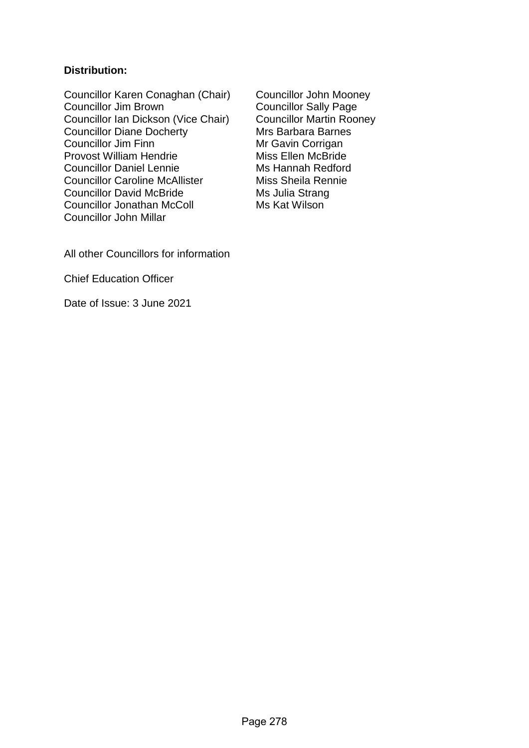#### **Distribution:**

Councillor Karen Conaghan (Chair) Councillor John Mooney<br>Councillor Jim Brown Councillor Sally Page Councillor Ian Dickson (Vice Chair) Councillor Martin Roone<br>Councillor Diane Docherty Mrs Barbara Barnes Councillor Diane Docherty<br>Councillor Jim Finn Provost William Hendrie Councillor Daniel Lennie<br>
Councillor Caroline McAllister
Miss Sheila Rennie Councillor Caroline McAllister Councillor David McBride Ms Julia Strang Councillor Jonathan McColl Ms Kat Wilson Councillor John Millar

Councillor Sally Page<br>Councillor Martin Rooney Mr Gavin Corrigan<br>Miss Ellen McBride

All other Councillors for information

Chief Education Officer

Date of Issue: 3 June 2021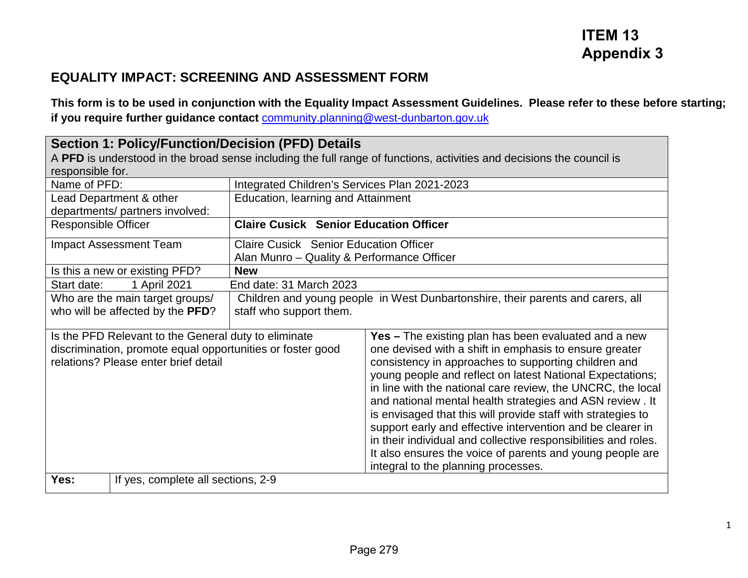### **ITEM 13 Appendix 3**

#### **EQUALITY IMPACT: SCREENING AND ASSESSMENT FORM**

**This form is to be used in conjunction with the Equality Impact Assessment Guidelines. Please refer to these before starting; if you require further guidance contact** [community.planning@west-dunbarton.gov.uk](mailto:community.planning@west-dunbarton.gov.uk)

| <b>Section 1: Policy/Function/Decision (PFD) Details</b><br>A PFD is understood in the broad sense including the full range of functions, activities and decisions the council is<br>responsible for. |                                                             |                                                                                             |                                                                                                                                                                                                                                                                                                                                                                                                                                                                                                                                                                                                                                                                           |  |  |
|-------------------------------------------------------------------------------------------------------------------------------------------------------------------------------------------------------|-------------------------------------------------------------|---------------------------------------------------------------------------------------------|---------------------------------------------------------------------------------------------------------------------------------------------------------------------------------------------------------------------------------------------------------------------------------------------------------------------------------------------------------------------------------------------------------------------------------------------------------------------------------------------------------------------------------------------------------------------------------------------------------------------------------------------------------------------------|--|--|
| Name of PFD:                                                                                                                                                                                          |                                                             | Integrated Children's Services Plan 2021-2023                                               |                                                                                                                                                                                                                                                                                                                                                                                                                                                                                                                                                                                                                                                                           |  |  |
|                                                                                                                                                                                                       | Lead Department & other<br>departments/ partners involved:  | Education, learning and Attainment                                                          |                                                                                                                                                                                                                                                                                                                                                                                                                                                                                                                                                                                                                                                                           |  |  |
| <b>Responsible Officer</b>                                                                                                                                                                            |                                                             | <b>Claire Cusick Senior Education Officer</b>                                               |                                                                                                                                                                                                                                                                                                                                                                                                                                                                                                                                                                                                                                                                           |  |  |
|                                                                                                                                                                                                       | <b>Impact Assessment Team</b>                               | <b>Claire Cusick Senior Education Officer</b><br>Alan Munro - Quality & Performance Officer |                                                                                                                                                                                                                                                                                                                                                                                                                                                                                                                                                                                                                                                                           |  |  |
|                                                                                                                                                                                                       | Is this a new or existing PFD?                              | <b>New</b>                                                                                  |                                                                                                                                                                                                                                                                                                                                                                                                                                                                                                                                                                                                                                                                           |  |  |
| Start date:                                                                                                                                                                                           | 1 April 2021                                                | End date: 31 March 2023                                                                     |                                                                                                                                                                                                                                                                                                                                                                                                                                                                                                                                                                                                                                                                           |  |  |
|                                                                                                                                                                                                       | Who are the main target groups/                             |                                                                                             | Children and young people in West Dunbartonshire, their parents and carers, all                                                                                                                                                                                                                                                                                                                                                                                                                                                                                                                                                                                           |  |  |
|                                                                                                                                                                                                       | who will be affected by the PFD?<br>staff who support them. |                                                                                             |                                                                                                                                                                                                                                                                                                                                                                                                                                                                                                                                                                                                                                                                           |  |  |
| Is the PFD Relevant to the General duty to eliminate<br>discrimination, promote equal opportunities or foster good<br>relations? Please enter brief detail                                            |                                                             |                                                                                             | <b>Yes - The existing plan has been evaluated and a new</b><br>one devised with a shift in emphasis to ensure greater<br>consistency in approaches to supporting children and<br>young people and reflect on latest National Expectations;<br>in line with the national care review, the UNCRC, the local<br>and national mental health strategies and ASN review. It<br>is envisaged that this will provide staff with strategies to<br>support early and effective intervention and be clearer in<br>in their individual and collective responsibilities and roles.<br>It also ensures the voice of parents and young people are<br>integral to the planning processes. |  |  |
| Yes:                                                                                                                                                                                                  | If yes, complete all sections, 2-9                          |                                                                                             |                                                                                                                                                                                                                                                                                                                                                                                                                                                                                                                                                                                                                                                                           |  |  |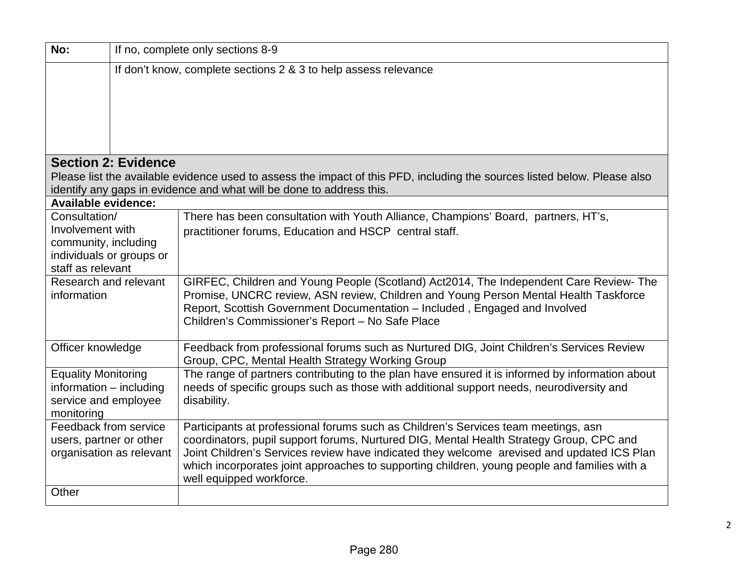| No:                                             | If no, complete only sections 8-9                               |                                                                                                                           |  |  |  |  |  |  |
|-------------------------------------------------|-----------------------------------------------------------------|---------------------------------------------------------------------------------------------------------------------------|--|--|--|--|--|--|
|                                                 | If don't know, complete sections 2 & 3 to help assess relevance |                                                                                                                           |  |  |  |  |  |  |
|                                                 |                                                                 |                                                                                                                           |  |  |  |  |  |  |
|                                                 |                                                                 |                                                                                                                           |  |  |  |  |  |  |
|                                                 |                                                                 |                                                                                                                           |  |  |  |  |  |  |
|                                                 |                                                                 |                                                                                                                           |  |  |  |  |  |  |
|                                                 | <b>Section 2: Evidence</b>                                      |                                                                                                                           |  |  |  |  |  |  |
|                                                 |                                                                 | Please list the available evidence used to assess the impact of this PFD, including the sources listed below. Please also |  |  |  |  |  |  |
|                                                 |                                                                 | identify any gaps in evidence and what will be done to address this.                                                      |  |  |  |  |  |  |
| <b>Available evidence:</b>                      |                                                                 |                                                                                                                           |  |  |  |  |  |  |
| Consultation/                                   |                                                                 | There has been consultation with Youth Alliance, Champions' Board, partners, HT's,                                        |  |  |  |  |  |  |
| Involvement with                                |                                                                 | practitioner forums, Education and HSCP central staff.                                                                    |  |  |  |  |  |  |
|                                                 | community, including<br>individuals or groups or                |                                                                                                                           |  |  |  |  |  |  |
|                                                 | staff as relevant                                               |                                                                                                                           |  |  |  |  |  |  |
| Research and relevant                           |                                                                 | GIRFEC, Children and Young People (Scotland) Act2014, The Independent Care Review- The                                    |  |  |  |  |  |  |
| information                                     |                                                                 | Promise, UNCRC review, ASN review, Children and Young Person Mental Health Taskforce                                      |  |  |  |  |  |  |
|                                                 |                                                                 | Report, Scottish Government Documentation - Included, Engaged and Involved                                                |  |  |  |  |  |  |
|                                                 |                                                                 | Children's Commissioner's Report - No Safe Place                                                                          |  |  |  |  |  |  |
| Officer knowledge                               |                                                                 | Feedback from professional forums such as Nurtured DIG, Joint Children's Services Review                                  |  |  |  |  |  |  |
|                                                 |                                                                 | Group, CPC, Mental Health Strategy Working Group                                                                          |  |  |  |  |  |  |
| <b>Equality Monitoring</b>                      |                                                                 | The range of partners contributing to the plan have ensured it is informed by information about                           |  |  |  |  |  |  |
| information - including<br>service and employee |                                                                 | needs of specific groups such as those with additional support needs, neurodiversity and                                  |  |  |  |  |  |  |
| monitoring                                      |                                                                 | disability.                                                                                                               |  |  |  |  |  |  |
| Feedback from service                           |                                                                 | Participants at professional forums such as Children's Services team meetings, asn                                        |  |  |  |  |  |  |
| users, partner or other                         |                                                                 | coordinators, pupil support forums, Nurtured DIG, Mental Health Strategy Group, CPC and                                   |  |  |  |  |  |  |
| organisation as relevant                        |                                                                 | Joint Children's Services review have indicated they welcome arevised and updated ICS Plan                                |  |  |  |  |  |  |
|                                                 |                                                                 | which incorporates joint approaches to supporting children, young people and families with a<br>well equipped workforce.  |  |  |  |  |  |  |
| Other                                           |                                                                 |                                                                                                                           |  |  |  |  |  |  |
|                                                 |                                                                 |                                                                                                                           |  |  |  |  |  |  |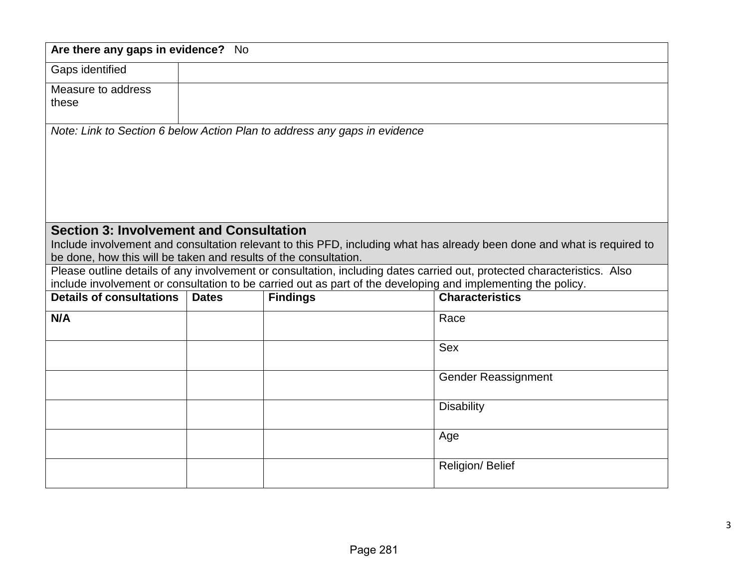| Are there any gaps in evidence? No                               |              |                                                                                                              |                                                                                                                         |  |
|------------------------------------------------------------------|--------------|--------------------------------------------------------------------------------------------------------------|-------------------------------------------------------------------------------------------------------------------------|--|
| Gaps identified                                                  |              |                                                                                                              |                                                                                                                         |  |
| Measure to address                                               |              |                                                                                                              |                                                                                                                         |  |
| these                                                            |              |                                                                                                              |                                                                                                                         |  |
|                                                                  |              |                                                                                                              |                                                                                                                         |  |
|                                                                  |              | Note: Link to Section 6 below Action Plan to address any gaps in evidence                                    |                                                                                                                         |  |
|                                                                  |              |                                                                                                              |                                                                                                                         |  |
|                                                                  |              |                                                                                                              |                                                                                                                         |  |
|                                                                  |              |                                                                                                              |                                                                                                                         |  |
|                                                                  |              |                                                                                                              |                                                                                                                         |  |
|                                                                  |              |                                                                                                              |                                                                                                                         |  |
| <b>Section 3: Involvement and Consultation</b>                   |              |                                                                                                              | Include involvement and consultation relevant to this PFD, including what has already been done and what is required to |  |
| be done, how this will be taken and results of the consultation. |              |                                                                                                              |                                                                                                                         |  |
|                                                                  |              |                                                                                                              | Please outline details of any involvement or consultation, including dates carried out, protected characteristics. Also |  |
|                                                                  |              | include involvement or consultation to be carried out as part of the developing and implementing the policy. |                                                                                                                         |  |
| <b>Details of consultations</b>                                  | <b>Dates</b> | <b>Findings</b>                                                                                              | <b>Characteristics</b>                                                                                                  |  |
| N/A                                                              |              |                                                                                                              | Race                                                                                                                    |  |
|                                                                  |              |                                                                                                              |                                                                                                                         |  |
|                                                                  |              |                                                                                                              | <b>Sex</b>                                                                                                              |  |
|                                                                  |              |                                                                                                              |                                                                                                                         |  |
|                                                                  |              |                                                                                                              | <b>Gender Reassignment</b>                                                                                              |  |
|                                                                  |              |                                                                                                              | <b>Disability</b>                                                                                                       |  |
|                                                                  |              |                                                                                                              |                                                                                                                         |  |
|                                                                  |              |                                                                                                              | Age                                                                                                                     |  |
|                                                                  |              |                                                                                                              |                                                                                                                         |  |
|                                                                  |              |                                                                                                              | Religion/ Belief                                                                                                        |  |
|                                                                  |              |                                                                                                              |                                                                                                                         |  |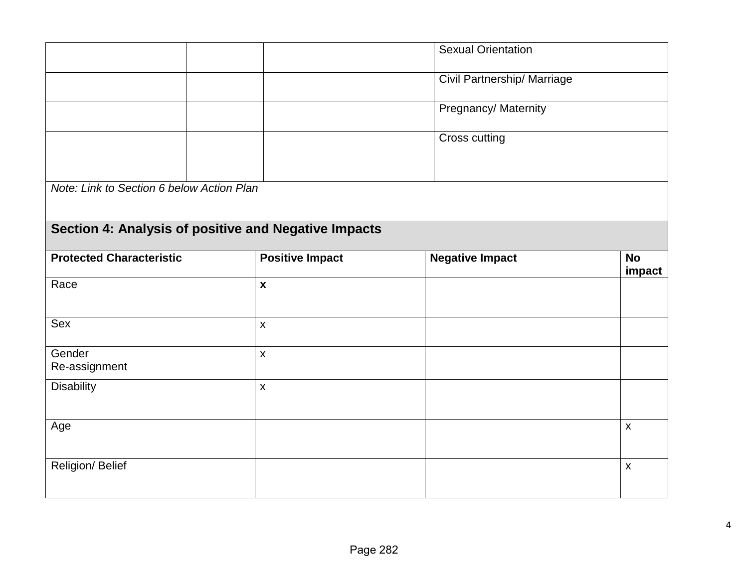|                                                      |                        | <b>Sexual Orientation</b>   |                     |
|------------------------------------------------------|------------------------|-----------------------------|---------------------|
|                                                      |                        | Civil Partnership/ Marriage |                     |
|                                                      |                        | Pregnancy/ Maternity        |                     |
|                                                      |                        | Cross cutting               |                     |
| Note: Link to Section 6 below Action Plan            |                        |                             |                     |
| Section 4: Analysis of positive and Negative Impacts |                        |                             |                     |
| <b>Protected Characteristic</b>                      | <b>Positive Impact</b> | <b>Negative Impact</b>      | <b>No</b><br>impact |
| Race                                                 | $\mathbf{x}$           |                             |                     |
| Sex                                                  | $\mathsf{x}$           |                             |                     |
| Gender<br>Re-assignment                              | $\mathsf{x}$           |                             |                     |
| <b>Disability</b>                                    | $\mathsf{X}$           |                             |                     |
| Age                                                  |                        |                             | $\pmb{\mathsf{X}}$  |
| Religion/ Belief                                     |                        |                             | $\pmb{\mathsf{X}}$  |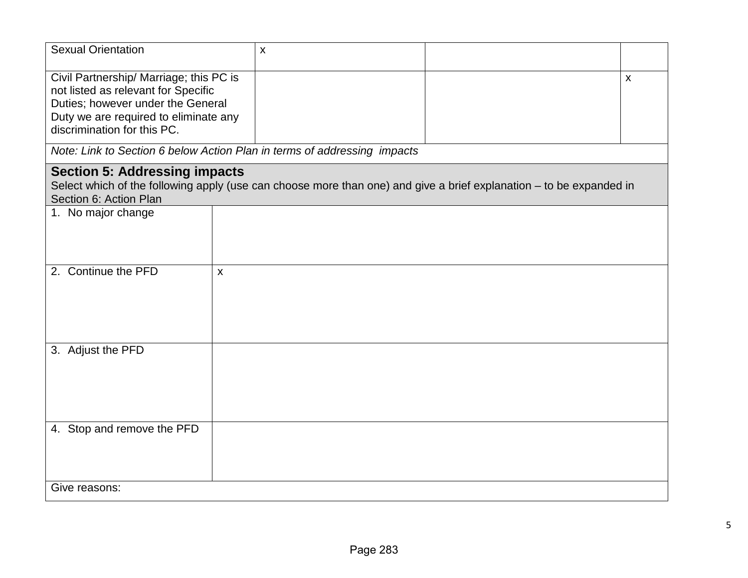| <b>Sexual Orientation</b>                                                                                                                                                                   |              | $\pmb{\chi}$                                                             |                                                                                                                     |                           |
|---------------------------------------------------------------------------------------------------------------------------------------------------------------------------------------------|--------------|--------------------------------------------------------------------------|---------------------------------------------------------------------------------------------------------------------|---------------------------|
| Civil Partnership/ Marriage; this PC is<br>not listed as relevant for Specific<br>Duties; however under the General<br>Duty we are required to eliminate any<br>discrimination for this PC. |              |                                                                          |                                                                                                                     | $\boldsymbol{\mathsf{X}}$ |
|                                                                                                                                                                                             |              | Note: Link to Section 6 below Action Plan in terms of addressing impacts |                                                                                                                     |                           |
| <b>Section 5: Addressing impacts</b><br>Section 6: Action Plan                                                                                                                              |              |                                                                          | Select which of the following apply (use can choose more than one) and give a brief explanation – to be expanded in |                           |
| 1. No major change                                                                                                                                                                          |              |                                                                          |                                                                                                                     |                           |
| 2. Continue the PFD                                                                                                                                                                         | $\mathsf{x}$ |                                                                          |                                                                                                                     |                           |
| 3. Adjust the PFD                                                                                                                                                                           |              |                                                                          |                                                                                                                     |                           |
| 4. Stop and remove the PFD                                                                                                                                                                  |              |                                                                          |                                                                                                                     |                           |
| Give reasons:                                                                                                                                                                               |              |                                                                          |                                                                                                                     |                           |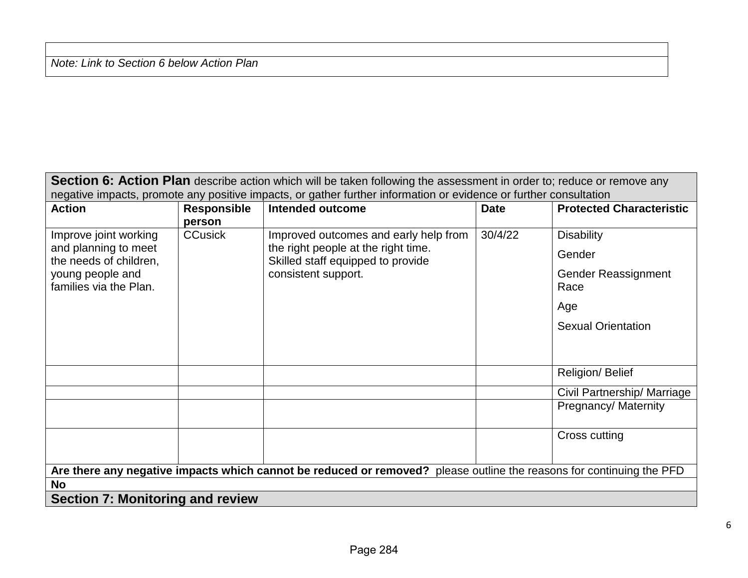*Note: Link to Section 6 below Action Plan*

| Section 6: Action Plan describe action which will be taken following the assessment in order to; reduce or remove any |                    |                                                                          |             |                                 |  |
|-----------------------------------------------------------------------------------------------------------------------|--------------------|--------------------------------------------------------------------------|-------------|---------------------------------|--|
| negative impacts, promote any positive impacts, or gather further information or evidence or further consultation     |                    |                                                                          |             |                                 |  |
| <b>Action</b>                                                                                                         | <b>Responsible</b> | <b>Intended outcome</b>                                                  | <b>Date</b> | <b>Protected Characteristic</b> |  |
|                                                                                                                       | person             |                                                                          |             |                                 |  |
| Improve joint working                                                                                                 | <b>CCusick</b>     | Improved outcomes and early help from                                    | 30/4/22     | <b>Disability</b>               |  |
| and planning to meet<br>the needs of children,                                                                        |                    | the right people at the right time.<br>Skilled staff equipped to provide |             | Gender                          |  |
| young people and                                                                                                      |                    | consistent support.                                                      |             | <b>Gender Reassignment</b>      |  |
| families via the Plan.                                                                                                |                    |                                                                          |             | Race                            |  |
|                                                                                                                       |                    |                                                                          |             | Age                             |  |
|                                                                                                                       |                    |                                                                          |             | <b>Sexual Orientation</b>       |  |
|                                                                                                                       |                    |                                                                          |             |                                 |  |
|                                                                                                                       |                    |                                                                          |             | Religion/ Belief                |  |
|                                                                                                                       |                    |                                                                          |             | Civil Partnership/ Marriage     |  |
|                                                                                                                       |                    |                                                                          |             | Pregnancy/Maternity             |  |
|                                                                                                                       |                    |                                                                          |             | Cross cutting                   |  |
|                                                                                                                       |                    |                                                                          |             |                                 |  |
| Are there any negative impacts which cannot be reduced or removed? please outline the reasons for continuing the PFD  |                    |                                                                          |             |                                 |  |
| No                                                                                                                    |                    |                                                                          |             |                                 |  |
| <b>Section 7: Monitoring and review</b>                                                                               |                    |                                                                          |             |                                 |  |